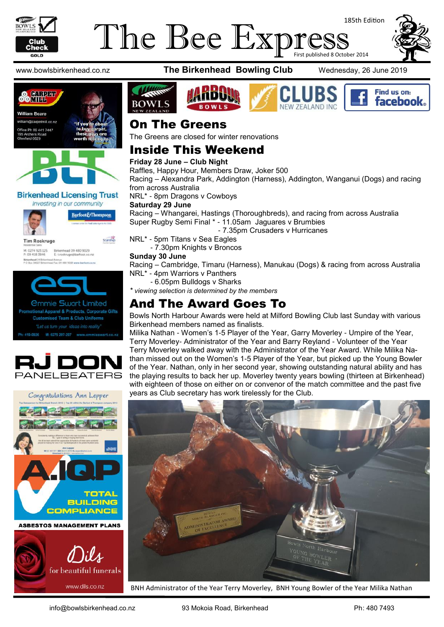

# The Bee Expres First published 8 October 2014

185th Edition







### **Birkenhead Licensing Trust**



Barfoot&Thompson

**Tim Roskruge** 

Starship

M: 0274 923 125 Birkenhead 09 480 9025<br>P: 09 418 3846 E: troskruge@barfoot.co







www.bowlsbirkenhead.co.nz **The Birkenhead Bowling Club** Wednesday, 26 June 2019











### On The Greens

The Greens are closed for winter renovations

### Inside This Weekend

### **Friday 28 June – Club Night**

Raffles, Happy Hour, Members Draw, Joker 500

Racing – Alexandra Park, Addington (Harness), Addington, Wanganui (Dogs) and racing from across Australia

NRL\* - 8pm Dragons v Cowboys

### **Saturday 29 June**

Racing – Whangarei, Hastings (Thoroughbreds), and racing from across Australia Super Rugby Semi Final \* - 11.05am Jaguares v Brumbies

- 7.35pm Crusaders v Hurricanes

NRL\* - 5pm Titans v Sea Eagles

- 7.30pm Knights v Broncos

### **Sunday 30 June**

Racing – Cambridge, Timaru (Harness), Manukau (Dogs) & racing from across Australia NRL\* - 4pm Warriors v Panthers

- 6.05pm Bulldogs v Sharks

*\* viewing selection is determined by the members*

### And The Award Goes To

Bowls North Harbour Awards were held at Milford Bowling Club last Sunday with various Birkenhead members named as finalists.

Milika Nathan - Women's 1-5 Player of the Year, Garry Moverley - Umpire of the Year, Terry Moverley- Administrator of the Year and Barry Reyland - Volunteer of the Year Terry Moverley walked away with the Administrator of the Year Award. While Milika Nathan missed out on the Women's 1-5 Player of the Year, but picked up the Young Bowler of the Year. Nathan, only in her second year, showing outstanding natural ability and has the playing results to back her up. Moverley twenty years bowling (thirteen at Birkenhead) with eighteen of those on either on or convenor of the match committee and the past five years as Club secretary has work tirelessly for the Club.



BNH Administrator of the Year Terry Moverley, BNH Young Bowler of the Year Milika Nathan

www.dils.co.nz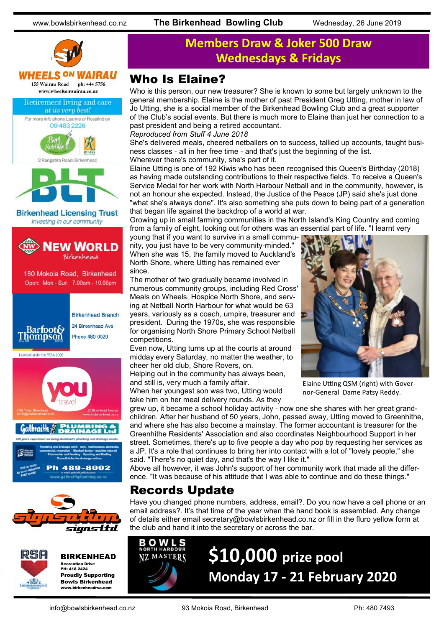





BIRKENHEAD Recreation Drive PH: 418 2424 Proudly Supporting Bowls Birkenhead

www.birkenheadrsa.com

## **Members Draw & Joker 500 Draw Wednesdays & Fridays**

### Who Is Elaine?

Who is this person, our new treasurer? She is known to some but largely unknown to the general membership. Elaine is the mother of past President Greg Utting, mother in law of Jo Utting, she is a social member of the Birkenhead Bowling Club and a great supporter of the Club's social events. But there is much more to Elaine than just her connection to a past president and being a retired accountant.

*Reproduced from Stuff 4 June 2018*

She's delivered meals, cheered netballers on to success, tallied up accounts, taught business classes - all in her free time - and that's just the beginning of the list. Wherever there's community, she's part of it.

Elaine Utting is one of 192 Kiwis who has been recognised this Queen's Birthday (2018) as having made outstanding contributions to their respective fields. To receive a Queen's Service Medal for her work with North Harbour Netball and in the community, however, is not an honour she expected. Instead, the Justice of the Peace (JP) said she's just done "what she's always done". It's also something she puts down to being part of a generation that began life against the backdrop of a world at war.

Growing up in small farming communities in the North Island's King Country and coming from a family of eight, looking out for others was an essential part of life. "I learnt very

young that if you want to survive in a small community, you just have to be very community-minded." When she was 15, the family moved to Auckland's North Shore, where Utting has remained ever since.

The mother of two gradually became involved in numerous community groups, including Red Cross' Meals on Wheels, Hospice North Shore, and serving at Netball North Harbour for what would be 63 years, variously as a coach, umpire, treasurer and president. During the 1970s, she was responsible for organising North Shore Primary School Netball competitions.

Even now, Utting turns up at the courts at around midday every Saturday, no matter the weather, to cheer her old club, Shore Rovers, on.

Helping out in the community has always been, and still is, very much a family affair. When her youngest son was two, Utting would

take him on her meal delivery rounds. As they



Elaine Utting QSM (right) with Governor-General Dame Patsy Reddy.

grew up, it became a school holiday activity - now one she shares with her great grandchildren. After her husband of 50 years, John, passed away, Utting moved to Greenhithe, and where she has also become a mainstay. The former accountant is treasurer for the Greenhithe Residents' Association and also coordinates Neighbourhood Support in her street. Sometimes, there's up to five people a day who pop by requesting her services as a JP. It's a role that continues to bring her into contact with a lot of "lovely people," she said. "There's no quiet day, and that's the way I like it."

Above all however, it was John's support of her community work that made all the difference. "It was because of his attitude that I was able to continue and do these things."

### Records Update

Have you changed phone numbers, address, email?. Do you now have a cell phone or an email address?. It's that time of the year when the hand book is assembled. Any change of details either email secretary@bowlsbirkenhead.co.nz or fill in the fluro yellow form at the club and hand it into the secretary or across the bar.



# **\$10,000 prize pool Monday 17 - 21 February 2020**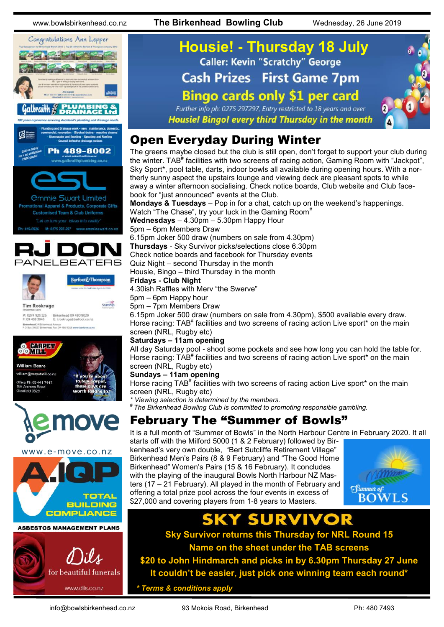www.bowlsbirkenhead.co.nz **The Birkenhead Bowling Club** Wednesday, 26 June 2019











## **Housie! - Thursday 18 July Caller: Kevin "Scratchy" George Cash Prizes First Game 7pm Bingo cards only \$1 per card** Further info ph: 0275 297297, Entry restricted to 18 years and over

Housie! Bingo! every third Thursday in the month

## Open Everyday During Winter

The greens maybe closed but the club is still open, don't forget to support your club during the winter. TAB<sup>#</sup> facilities with two screens of racing action, Gaming Room with "Jackpot", Sky Sport\*, pool table, darts, indoor bowls all available during opening hours. With a northerly sunny aspect the upstairs lounge and viewing deck are pleasant spots to while away a winter afternoon socialising. Check notice boards, Club website and Club facebook for "just announced" events at the Club.

**Mondays & Tuesdays** – Pop in for a chat, catch up on the weekend's happenings. Watch "The Chase", try your luck in the Gaming Room<sup>#</sup>

**Wednesdays** – 4.30pm – 5.30pm Happy Hour 5pm – 6pm Members Draw

6.15pm Joker 500 draw (numbers on sale from 4.30pm) **Thursdays** - Sky Survivor picks/selections close 6.30pm

Check notice boards and facebook for Thursday events

Quiz Night – second Thursday in the month Housie, Bingo – third Thursday in the month

### **Fridays - Club Night**

4.30ish Raffles with Merv "the Swerve"

- 5pm 6pm Happy hour
- 5pm 7pm Members Draw

6.15pm Joker 500 draw (numbers on sale from 4.30pm), \$500 available every draw. Horse racing: TAB<sup>#</sup> facilities and two screens of racing action Live sport\* on the main screen (NRL, Rugby etc)

### **Saturdays – 11am opening**

All day Saturday pool - shoot some pockets and see how long you can hold the table for. Horse racing: TAB<sup>#</sup> facilities and two screens of racing action Live sport\* on the main screen (NRL, Rugby etc)

### **Sundays – 11am opening**

Horse racing TAB<sup>#</sup> facilities with two screens of racing action Live sport\* on the main screen (NRL, Rugby etc)

*\* Viewing selection is determined by the members.* 

*# The Birkenhead Bowling Club is committed to promoting responsible gambling.*

## February The "Summer of Bowls"

It is a full month of "Summer of Bowls" in the North Harbour Centre in February 2020. It all starts off with the Milford 5000 (1 & 2 February) followed by Bir-

kenhead's very own double, "Bert Sutcliffe Retirement Village" Birkenhead Men's Pairs (8 & 9 February) and "The Good Home Birkenhead" Women's Pairs (15 & 16 February). It concludes with the playing of the inaugural Bowls North Harbour NZ Masters (17 – 21 February). All played in the month of February and offering a total prize pool across the four events in excess of \$27,000 and covering players from 1-8 years to Masters.



**Sky Survivor returns this Thursday for NRL Round 15 Name on the sheet under the TAB screens**

**\$20 to John Hindmarch and picks in by 6.30pm Thursday 27 June It couldn't be easier, just pick one winning team each round\***

*\* Terms & conditions apply*

info@bowlsbirkenhead.co.nz 93 Mokoia Road, Birkenhead Ph: 480 7493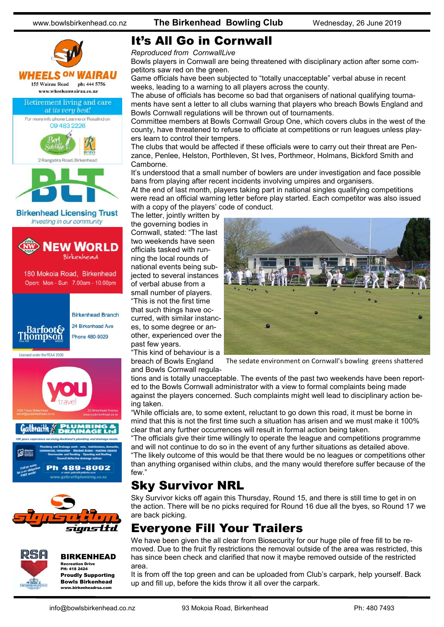

### It's All Go in Cornwall

*Reproduced from CornwallLive*

Bowls players in Cornwall are being threatened with disciplinary action after some competitors saw red on the green.

Game officials have been subjected to "totally unacceptable" verbal abuse in recent weeks, leading to a warning to all players across the county.

The abuse of officials has become so bad that organisers of national qualifying tournaments have sent a letter to all clubs warning that players who breach Bowls England and Bowls Cornwall regulations will be thrown out of tournaments.

Committee members at Bowls Cornwall Group One, which covers clubs in the west of the county, have threatened to refuse to officiate at competitions or run leagues unless players learn to control their tempers.

The clubs that would be affected if these officials were to carry out their threat are Penzance, Penlee, Helston, Porthleven, St Ives, Porthmeor, Holmans, Bickford Smith and Camborne.

It's understood that a small number of bowlers are under investigation and face possible bans from playing after recent incidents involving umpires and organisers.

At the end of last month, players taking part in national singles qualifying competitions were read an official warning letter before play started. Each competitor was also issued with a copy of the players' code of conduct.

The letter, jointly written by the governing bodies in Cornwall, stated: "The last two weekends have seen officials tasked with running the local rounds of national events being subjected to several instances of verbal abuse from a small number of players. "This is not the first time that such things have occurred, with similar instances, to some degree or another, experienced over the past few years.

"This kind of behaviour is a breach of Bowls England and Bowls Cornwall regula-



The sedate environment on Cornwall's bowling greens shattered

tions and is totally unacceptable. The events of the past two weekends have been reported to the Bowls Cornwall administrator with a view to formal complaints being made against the players concerned. Such complaints might well lead to disciplinary action being taken.

"While officials are, to some extent, reluctant to go down this road, it must be borne in mind that this is not the first time such a situation has arisen and we must make it 100% clear that any further occurrences will result in formal action being taken.

"The officials give their time willingly to operate the league and competitions programme and will not continue to do so in the event of any further situations as detailed above. "The likely outcome of this would be that there would be no leagues or competitions other than anything organised within clubs, and the many would therefore suffer because of the few."

## Sky Survivor NRL

Sky Survivor kicks off again this Thursday, Round 15, and there is still time to get in on the action. There will be no picks required for Round 16 due all the byes, so Round 17 we are back picking.

## Everyone Fill Your Trailers

We have been given the all clear from Biosecurity for our huge pile of free fill to be removed. Due to the fruit fly restrictions the removal outside of the area was restricted, this has since been check and clarified that now it maybe removed outside of the restricted area.

It is from off the top green and can be uploaded from Club's carpark, help yourself. Back up and fill up, before the kids throw it all over the carpark.

### BIRKENHEAD

Recreation Drive PH: 418 2424 Proudly Supporting Bowls Birkenhead www.birkenheadrsa.com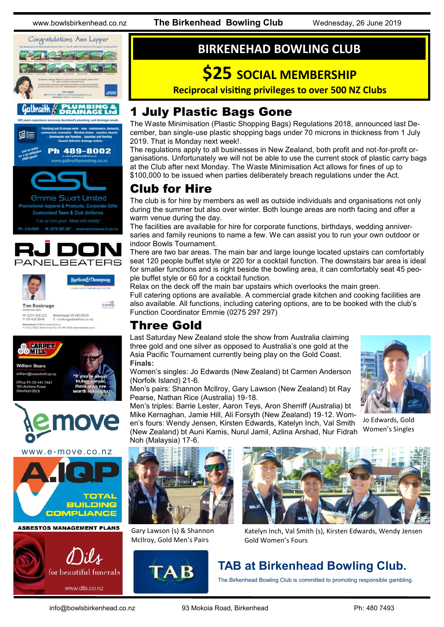www.bowlsbirkenhead.co.nz **The Birkenhead Bowling Club** Wednesday, 26 June 2019



### raith









M: 0274 923 125 Birkenhead 09 480 9029<br>P: 09 418 3846 E: troskruge@barfoot.co.nz Birkenhead 24 Britannia<br>P.O.Rox 34027 Britannia ad Avenue<br>- I fax i'rs asn sorrs www.have





www.e-move.co.nz



**ASBESTOS MANAGEMENT PLANS** 



### **BIRKENEHAD BOWLING CLUB**

# **\$25 SOCIAL MEMBERSHIP**

**Reciprocal visiting privileges to over 500 NZ Clubs** 

### 1 July Plastic Bags Gone

The [Waste Minimisation \(Plastic Shopping Bags\) Regulations 2018,](http://www.legislation.govt.nz/regulation/public/2018/0270/6.0/whole.html) announced last December, ban single-use plastic shopping bags under 70 microns in thickness from 1 July 2019. That is Monday next week!.

The regulations apply to all businesses in New Zealand, both profit and not-for-profit organisations. Unfortunately we will not be able to use the current stock of plastic carry bags at the Club after next Monday. The Waste Minimisation Act allows for fines of up to \$100,000 to be issued when parties deliberately breach regulations under the Act.

## Club for Hire

The club is for hire by members as well as outside individuals and organisations not only during the summer but also over winter. Both lounge areas are north facing and offer a warm venue during the day.

The facilities are available for hire for corporate functions, birthdays, wedding anniversaries and family reunions to name a few. We can assist you to run your own outdoor or indoor Bowls Tournament.

There are two bar areas. The main bar and large lounge located upstairs can comfortably seat 120 people buffet style or 220 for a cocktail function. The downstairs bar area is ideal for smaller functions and is right beside the bowling area, it can comfortably seat 45 people buffet style or 60 for a cocktail function.

Relax on the deck off the main bar upstairs which overlooks the main green. Full catering options are available. A commercial grade kitchen and cooking facilities are also available. All functions, including catering options, are to be booked with the club's Function Coordinator Emmie (0275 297 297)

## Three Gold

Last Saturday New Zealand stole the show from Australia claiming three gold and one silver as opposed to Australia's one gold at the Asia Pacific Tournament currently being play on the Gold Coast. **Finals:**

Women's singles: Jo Edwards (New Zealand) bt Carmen Anderson (Norfolk Island) 21-6.

Men's pairs: Shannon McIlroy, Gary Lawson (New Zealand) bt Ray Pearse, Nathan Rice (Australia) 19-18.

Men's triples: Barrie Lester, Aaron Teys, Aron Sherriff (Australia) bt Mike Kernaghan, Jamie Hill, Ali Forsyth (New Zealand) 19-12. Women's fours: Wendy Jensen, Kirsten Edwards, Katelyn Inch, Val Smith (New Zealand) bt Auni Kamis, Nurul Jamil, Azlina Arshad, Nur Fidrah



Jo Edwards, Gold Women's Singles



Gary Lawson (s) & Shannon McIlroy, Gold Men's Pairs





Katelyn Inch, Val Smith (s), Kirsten Edwards, Wendy Jensen Gold Women's Fours

## **TAB at Birkenhead Bowling Club.**

The Birkenhead Bowling Club is committed to promoting responsible gambling.